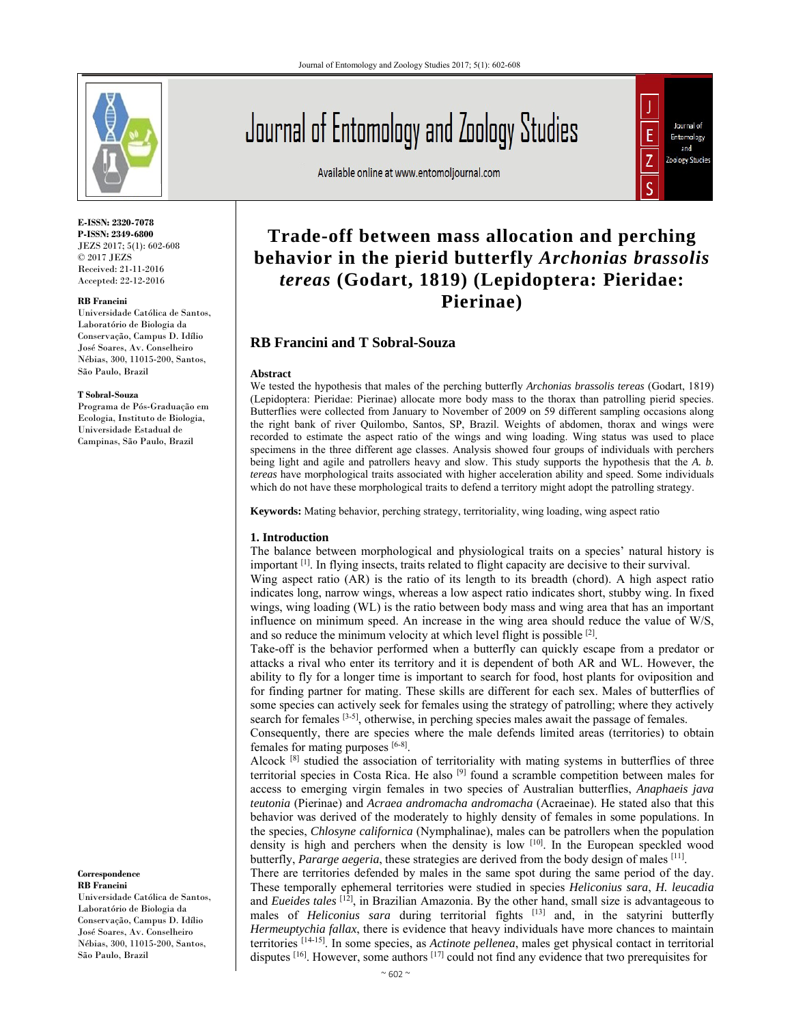

**E-ISSN: 2320-7078 P-ISSN: 2349-6800** JEZS 2017; 5(1): 602-608 © 2017 JEZS Received: 21-11-2016 Accepted: 22-12-2016

#### **RB Francini**

Universidade Católica de Santos, Laboratório de Biologia da Conservação, Campus D. Idílio José Soares, Av. Conselheiro Nébias, 300, 11015-200, Santos, São Paulo, Brazil

#### **T Sobral-Souza**

Programa de Pós-Graduação em Ecologia, Instituto de Biologia, Universidade Estadual de Campinas, São Paulo, Brazil

#### **Correspondence RB Francini**

Universidade Católica de Santos, Laboratório de Biologia da Conservação, Campus D. Idílio José Soares, Av. Conselheiro Nébias, 300, 11015-200, Santos, São Paulo, Brazil

# Journal of Entomology and Zoology Studies

Available online at www.entomoljournal.com



# **Trade-off between mass allocation and perching behavior in the pierid butterfly** *Archonias brassolis tereas* **(Godart, 1819) (Lepidoptera: Pieridae: Pierinae)**

# **RB Francini and T Sobral-Souza**

#### **Abstract**

We tested the hypothesis that males of the perching butterfly *Archonias brassolis tereas* (Godart, 1819) (Lepidoptera: Pieridae: Pierinae) allocate more body mass to the thorax than patrolling pierid species. Butterflies were collected from January to November of 2009 on 59 different sampling occasions along the right bank of river Quilombo, Santos, SP, Brazil. Weights of abdomen, thorax and wings were recorded to estimate the aspect ratio of the wings and wing loading. Wing status was used to place specimens in the three different age classes. Analysis showed four groups of individuals with perchers being light and agile and patrollers heavy and slow. This study supports the hypothesis that the *A. b. tereas* have morphological traits associated with higher acceleration ability and speed. Some individuals which do not have these morphological traits to defend a territory might adopt the patrolling strategy.

**Keywords:** Mating behavior, perching strategy, territoriality, wing loading, wing aspect ratio

#### **1. Introduction**

The balance between morphological and physiological traits on a species' natural history is important [1]. In flying insects, traits related to flight capacity are decisive to their survival.

Wing aspect ratio (AR) is the ratio of its length to its breadth (chord). A high aspect ratio indicates long, narrow wings, whereas a low aspect ratio indicates short, stubby wing. In fixed wings, wing loading (WL) is the ratio between body mass and wing area that has an important influence on minimum speed. An increase in the wing area should reduce the value of W/S, and so reduce the minimum velocity at which level flight is possible  $[2]$ .

Take-off is the behavior performed when a butterfly can quickly escape from a predator or attacks a rival who enter its territory and it is dependent of both AR and WL. However, the ability to fly for a longer time is important to search for food, host plants for oviposition and for finding partner for mating. These skills are different for each sex. Males of butterflies of some species can actively seek for females using the strategy of patrolling; where they actively search for females <sup>[3-5]</sup>, otherwise, in perching species males await the passage of females.

Consequently, there are species where the male defends limited areas (territories) to obtain females for mating purposes  $[6-8]$ .

Alcock <sup>[8]</sup> studied the association of territoriality with mating systems in butterflies of three territorial species in Costa Rica. He also [9] found a scramble competition between males for access to emerging virgin females in two species of Australian butterflies, *Anaphaeis java teutonia* (Pierinae) and *Acraea andromacha andromacha* (Acraeinae). He stated also that this behavior was derived of the moderately to highly density of females in some populations. In the species, *Chlosyne californica* (Nymphalinae), males can be patrollers when the population density is high and perchers when the density is low [10]. In the European speckled wood butterfly, *Pararge aegeria*, these strategies are derived from the body design of males [11].

There are territories defended by males in the same spot during the same period of the day. These temporally ephemeral territories were studied in species *Heliconius sara*, *H. leucadia* and *Eueides tales* [12], in Brazilian Amazonia. By the other hand, small size is advantageous to males of *Heliconius sara* during territorial fights [13] and, in the satyrini butterfly *Hermeuptychia fallax*, there is evidence that heavy individuals have more chances to maintain territories [14-15]. In some species, as *Actinote pellenea*, males get physical contact in territorial disputes  $[16]$ . However, some authors  $[17]$  could not find any evidence that two prerequisites for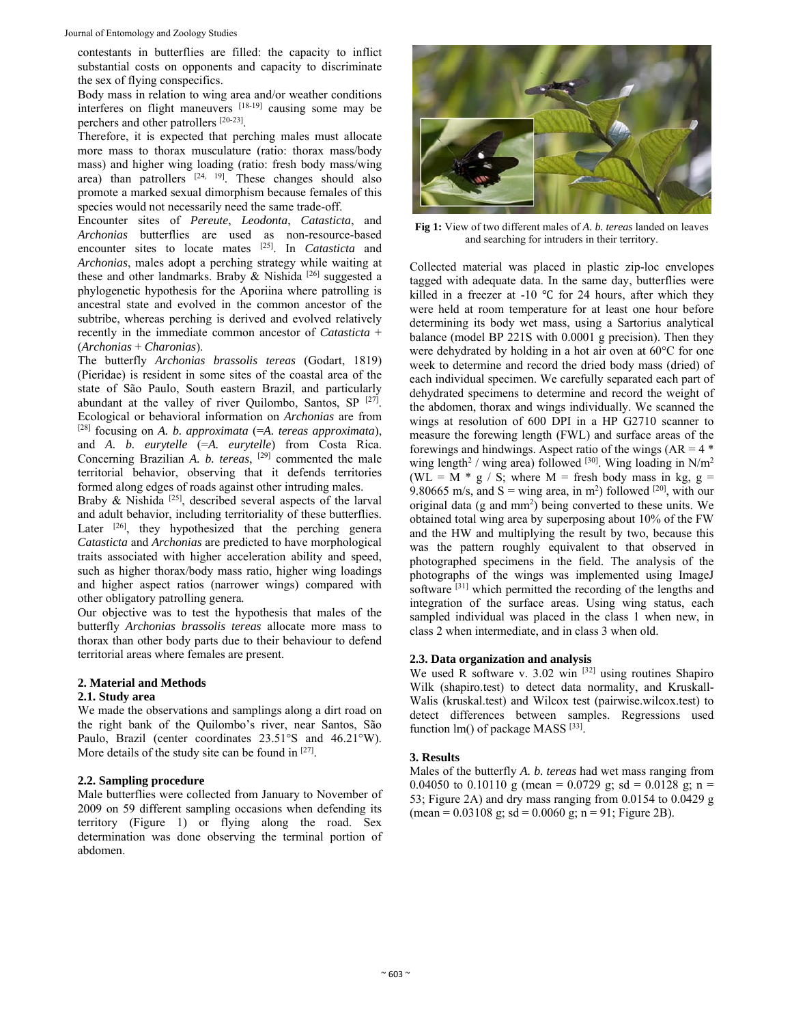contestants in butterflies are filled: the capacity to inflict substantial costs on opponents and capacity to discriminate the sex of flying conspecifics.

Body mass in relation to wing area and/or weather conditions interferes on flight maneuvers [18-19] causing some may be perchers and other patrollers [20-23].

Therefore, it is expected that perching males must allocate more mass to thorax musculature (ratio: thorax mass/body mass) and higher wing loading (ratio: fresh body mass/wing area) than patrollers [24, 19]. These changes should also promote a marked sexual dimorphism because females of this species would not necessarily need the same trade-off.

Encounter sites of *Pereute*, *Leodonta*, *Catasticta*, and *Archonias* butterflies are used as non-resource-based encounter sites to locate mates [25]. In *Catasticta* and *Archonias*, males adopt a perching strategy while waiting at these and other landmarks. Braby  $\&$  Nishida [26] suggested a phylogenetic hypothesis for the Aporiina where patrolling is ancestral state and evolved in the common ancestor of the subtribe, whereas perching is derived and evolved relatively recently in the immediate common ancestor of *Catasticta* + (*Archonias* + *Charonias*).

The butterfly *Archonias brassolis tereas* (Godart, 1819) (Pieridae) is resident in some sites of the coastal area of the state of São Paulo, South eastern Brazil, and particularly abundant at the valley of river Quilombo, Santos, SP  $[27]$ . Ecological or behavioral information on *Archonias* are from [28] focusing on *A. b. approximata* (=*A. tereas approximata*), and *A. b. eurytelle* (=*A. eurytelle*) from Costa Rica. Concerning Brazilian *A. b. tereas*, [29] commented the male territorial behavior, observing that it defends territories formed along edges of roads against other intruding males.

Braby & Nishida<sup>[25]</sup>, described several aspects of the larval and adult behavior, including territoriality of these butterflies. Later  $[26]$ , they hypothesized that the perching genera *Catasticta* and *Archonias* are predicted to have morphological traits associated with higher acceleration ability and speed, such as higher thorax/body mass ratio, higher wing loadings and higher aspect ratios (narrower wings) compared with other obligatory patrolling genera*.* 

Our objective was to test the hypothesis that males of the butterfly *Archonias brassolis tereas* allocate more mass to thorax than other body parts due to their behaviour to defend territorial areas where females are present.

# **2. Material and Methods**

# **2.1. Study area**

We made the observations and samplings along a dirt road on the right bank of the Quilombo's river, near Santos, São Paulo, Brazil (center coordinates 23.51°S and 46.21°W). More details of the study site can be found in [27].

# **2.2. Sampling procedure**

Male butterflies were collected from January to November of 2009 on 59 different sampling occasions when defending its territory (Figure 1) or flying along the road. Sex determination was done observing the terminal portion of abdomen.



**Fig 1:** View of two different males of *A. b. tereas* landed on leaves and searching for intruders in their territory.

Collected material was placed in plastic zip-loc envelopes tagged with adequate data. In the same day, butterflies were killed in a freezer at -10  $\degree$ C for 24 hours, after which they were held at room temperature for at least one hour before determining its body wet mass, using a Sartorius analytical balance (model BP 221S with 0.0001 g precision). Then they were dehydrated by holding in a hot air oven at 60°C for one week to determine and record the dried body mass (dried) of each individual specimen. We carefully separated each part of dehydrated specimens to determine and record the weight of the abdomen, thorax and wings individually. We scanned the wings at resolution of 600 DPI in a HP G2710 scanner to measure the forewing length (FWL) and surface areas of the forewings and hindwings. Aspect ratio of the wings  $(AR = 4$ <sup>\*</sup> wing length<sup>2</sup> / wing area) followed  $[30]$ . Wing loading in N/m<sup>2</sup> (WL =  $\overline{M}$  \* g / S; where  $\overline{M}$  = fresh body mass in kg, g = 9.80665 m/s, and  $S =$  wing area, in m<sup>2</sup>) followed <sup>[20]</sup>, with our original data (g and mm<sup>2</sup>) being converted to these units. We obtained total wing area by superposing about 10% of the FW and the HW and multiplying the result by two, because this was the pattern roughly equivalent to that observed in photographed specimens in the field. The analysis of the photographs of the wings was implemented using ImageJ software <sup>[31]</sup> which permitted the recording of the lengths and integration of the surface areas. Using wing status, each sampled individual was placed in the class 1 when new, in class 2 when intermediate, and in class 3 when old.

# **2.3. Data organization and analysis**

We used R software v. 3.02 win [32] using routines Shapiro Wilk (shapiro.test) to detect data normality, and Kruskall-Walis (kruskal.test) and Wilcox test (pairwise.wilcox.test) to detect differences between samples. Regressions used function  $lm()$  of package MASS  $[33]$ .

# **3. Results**

Males of the butterfly *A. b. tereas* had wet mass ranging from 0.04050 to 0.10110 g (mean = 0.0729 g; sd = 0.0128 g; n = 53; Figure 2A) and dry mass ranging from 0.0154 to 0.0429 g  $(\text{mean} = 0.03108 \text{ g}; \text{ sd} = 0.0060 \text{ g}; \text{ n} = 91; \text{ Figure 2B}).$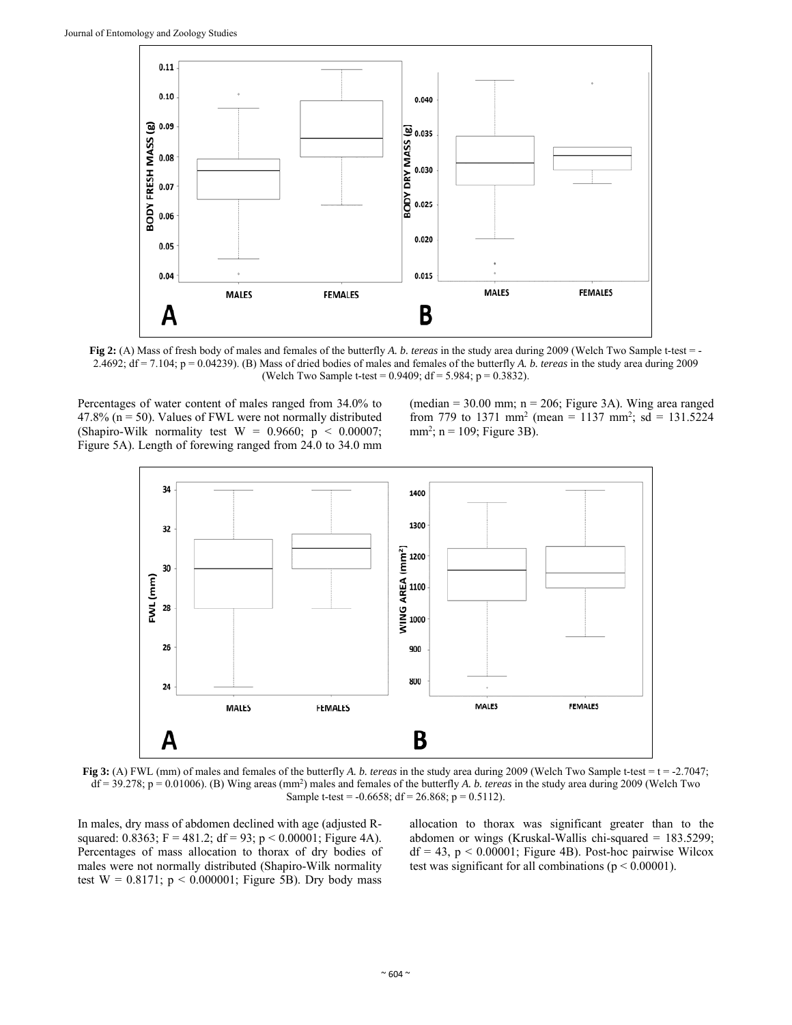

**Fig 2:** (A) Mass of fresh body of males and females of the butterfly *A. b. tereas* in the study area during 2009 (Welch Two Sample t-test = -2.4692; df = 7.104; p = 0.04239). (B) Mass of dried bodies of males and females of the butterfly *A. b. tereas* in the study area during 2009 (Welch Two Sample t-test =  $0.9409$ ; df =  $5.984$ ; p =  $0.3832$ ).

Percentages of water content of males ranged from 34.0% to 47.8% ( $n = 50$ ). Values of FWL were not normally distributed (Shapiro-Wilk normality test  $W = 0.9660$ ;  $p < 0.00007$ ; Figure 5A). Length of forewing ranged from 24.0 to 34.0 mm (median =  $30.00$  mm; n =  $206$ ; Figure 3A). Wing area ranged from 779 to 1371 mm<sup>2</sup> (mean = 1137 mm<sup>2</sup>; sd = 131.5224  $mm<sup>2</sup>$ ;  $n = 109$ ; Figure 3B).



**Fig 3:** (A) FWL (mm) of males and females of the butterfly *A. b. tereas* in the study area during 2009 (Welch Two Sample t-test = t = -2.7047; df = 39.278; p = 0.01006). (B) Wing areas (mm2 ) males and females of the butterfly *A. b. tereas* in the study area during 2009 (Welch Two Sample t-test = -0.6658; df = 26.868; p = 0.5112).

In males, dry mass of abdomen declined with age (adjusted Rsquared: 0.8363; F = 481.2; df = 93; p < 0.00001; Figure 4A). Percentages of mass allocation to thorax of dry bodies of males were not normally distributed (Shapiro-Wilk normality test  $W = 0.8171$ ;  $p < 0.000001$ ; Figure 5B). Dry body mass

allocation to thorax was significant greater than to the abdomen or wings (Kruskal-Wallis chi-squared = 183.5299;  $df = 43$ ,  $p < 0.00001$ ; Figure 4B). Post-hoc pairwise Wilcox test was significant for all combinations ( $p \le 0.00001$ ).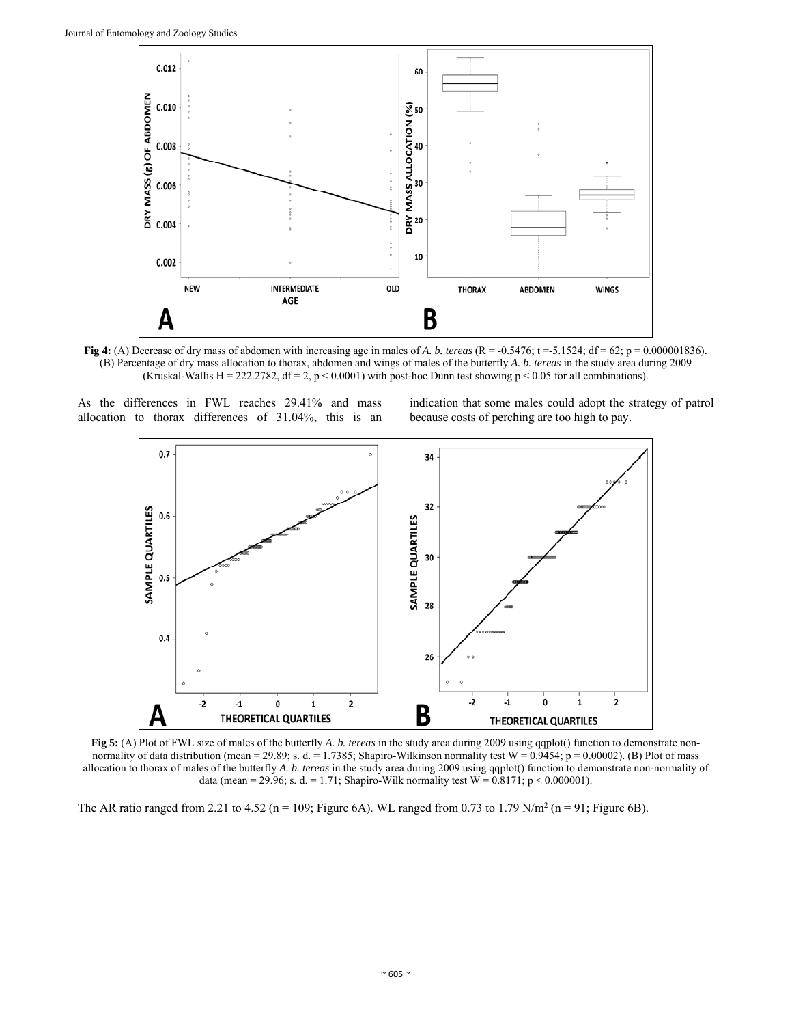

**Fig 4:** (A) Decrease of dry mass of abdomen with increasing age in males of *A. b. tereas*  $(R = -0.5476$ ;  $t = -5.1524$ ;  $df = 62$ ;  $p = 0.000001836$ . (B) Percentage of dry mass allocation to thorax, abdomen and wings of males of the butterfly *A. b. tereas* in the study area during 2009 (Kruskal-Wallis H = 222.2782, df = 2, p < 0.0001) with post-hoc Dunn test showing p < 0.05 for all combinations).

As the differences in FWL reaches 29.41% and mass allocation to thorax differences of 31.04%, this is an indication that some males could adopt the strategy of patrol because costs of perching are too high to pay.



**Fig 5:** (A) Plot of FWL size of males of the butterfly *A. b. tereas* in the study area during 2009 using qqplot() function to demonstrate nonnormality of data distribution (mean = 29.89; s. d. = 1.7385; Shapiro-Wilkinson normality test  $W = 0.9454$ ; p = 0.00002). (B) Plot of mass allocation to thorax of males of the butterfly *A. b. tereas* in the study area during 2009 using qqplot() function to demonstrate non-normality of data (mean = 29.96; s. d. = 1.71; Shapiro-Wilk normality test  $W = 0.8171$ ; p < 0.000001).

The AR ratio ranged from 2.21 to 4.52 ( $n = 109$ ; Figure 6A). WL ranged from 0.73 to 1.79 N/m<sup>2</sup> ( $n = 91$ ; Figure 6B).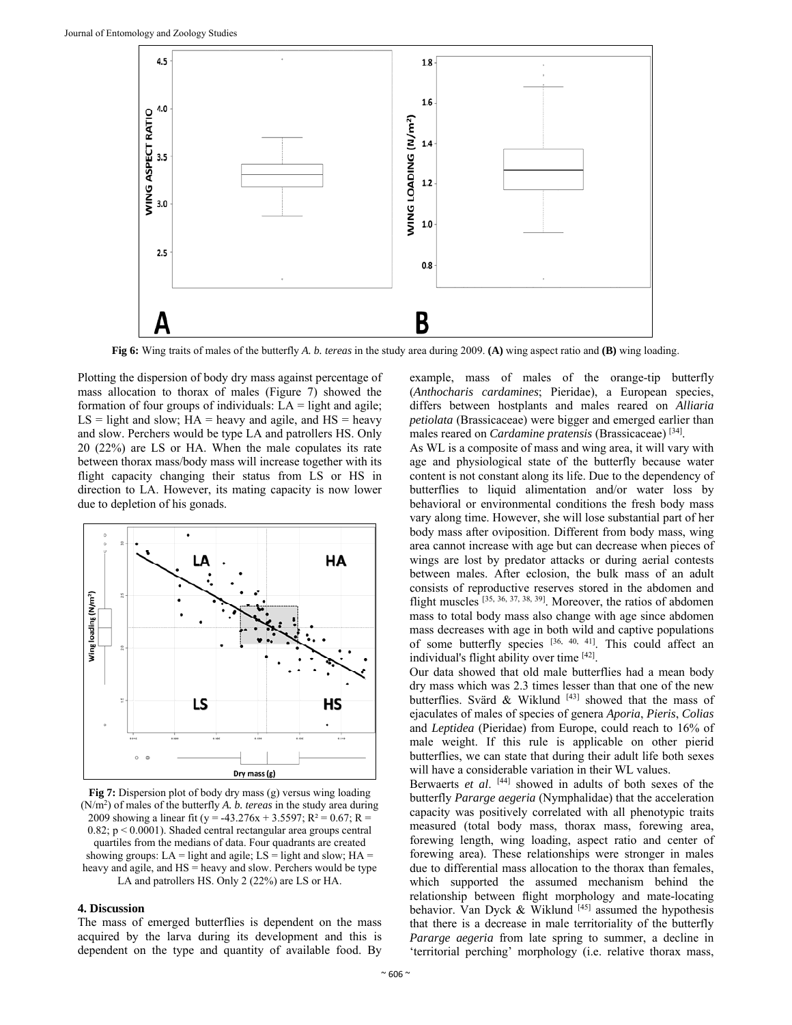

**Fig 6:** Wing traits of males of the butterfly *A. b. tereas* in the study area during 2009. **(A)** wing aspect ratio and **(B)** wing loading.

Plotting the dispersion of body dry mass against percentage of mass allocation to thorax of males (Figure 7) showed the formation of four groups of individuals:  $LA = light$  and agile;  $LS = light$  and slow;  $HA = heavy$  and agile, and  $HS = heavy$ and slow. Perchers would be type LA and patrollers HS. Only 20 (22%) are LS or HA. When the male copulates its rate between thorax mass/body mass will increase together with its flight capacity changing their status from LS or HS in direction to LA. However, its mating capacity is now lower due to depletion of his gonads.



**Fig 7:** Dispersion plot of body dry mass (g) versus wing loading (N/m2) of males of the butterfly *A. b. tereas* in the study area during 2009 showing a linear fit (y = -43.276x + 3.5597; R<sup>2</sup> = 0.67; R =  $0.82$ ;  $p \le 0.0001$ ). Shaded central rectangular area groups central quartiles from the medians of data. Four quadrants are created showing groups: LA = light and agile; LS = light and slow; HA = heavy and agile, and HS = heavy and slow. Perchers would be type LA and patrollers HS. Only 2 (22%) are LS or HA.

#### **4. Discussion**

The mass of emerged butterflies is dependent on the mass acquired by the larva during its development and this is dependent on the type and quantity of available food. By

example, mass of males of the orange-tip butterfly (*Anthocharis cardamines*; Pieridae), a European species, differs between hostplants and males reared on *Alliaria petiolata* (Brassicaceae) were bigger and emerged earlier than males reared on *Cardamine pratensis* (Brassicaceae) [34].

As WL is a composite of mass and wing area, it will vary with age and physiological state of the butterfly because water content is not constant along its life. Due to the dependency of butterflies to liquid alimentation and/or water loss by behavioral or environmental conditions the fresh body mass vary along time. However, she will lose substantial part of her body mass after oviposition. Different from body mass, wing area cannot increase with age but can decrease when pieces of wings are lost by predator attacks or during aerial contests between males. After eclosion, the bulk mass of an adult consists of reproductive reserves stored in the abdomen and flight muscles [35, 36, 37, 38, 39]. Moreover, the ratios of abdomen mass to total body mass also change with age since abdomen mass decreases with age in both wild and captive populations of some butterfly species [36, 40, 41]. This could affect an individual's flight ability over time [42].

Our data showed that old male butterflies had a mean body dry mass which was 2.3 times lesser than that one of the new butterflies. Svärd & Wiklund  $[43]$  showed that the mass of ejaculates of males of species of genera *Aporia*, *Pieris*, *Colias* and *Leptidea* (Pieridae) from Europe, could reach to 16% of male weight. If this rule is applicable on other pierid butterflies, we can state that during their adult life both sexes will have a considerable variation in their WL values.

Berwaerts *et al*. [44] showed in adults of both sexes of the butterfly *Pararge aegeria* (Nymphalidae) that the acceleration capacity was positively correlated with all phenotypic traits measured (total body mass, thorax mass, forewing area, forewing length, wing loading, aspect ratio and center of forewing area). These relationships were stronger in males due to differential mass allocation to the thorax than females, which supported the assumed mechanism behind the relationship between flight morphology and mate-locating behavior. Van Dyck & Wiklund [45] assumed the hypothesis that there is a decrease in male territoriality of the butterfly *Pararge aegeria* from late spring to summer, a decline in 'territorial perching' morphology (i.e. relative thorax mass,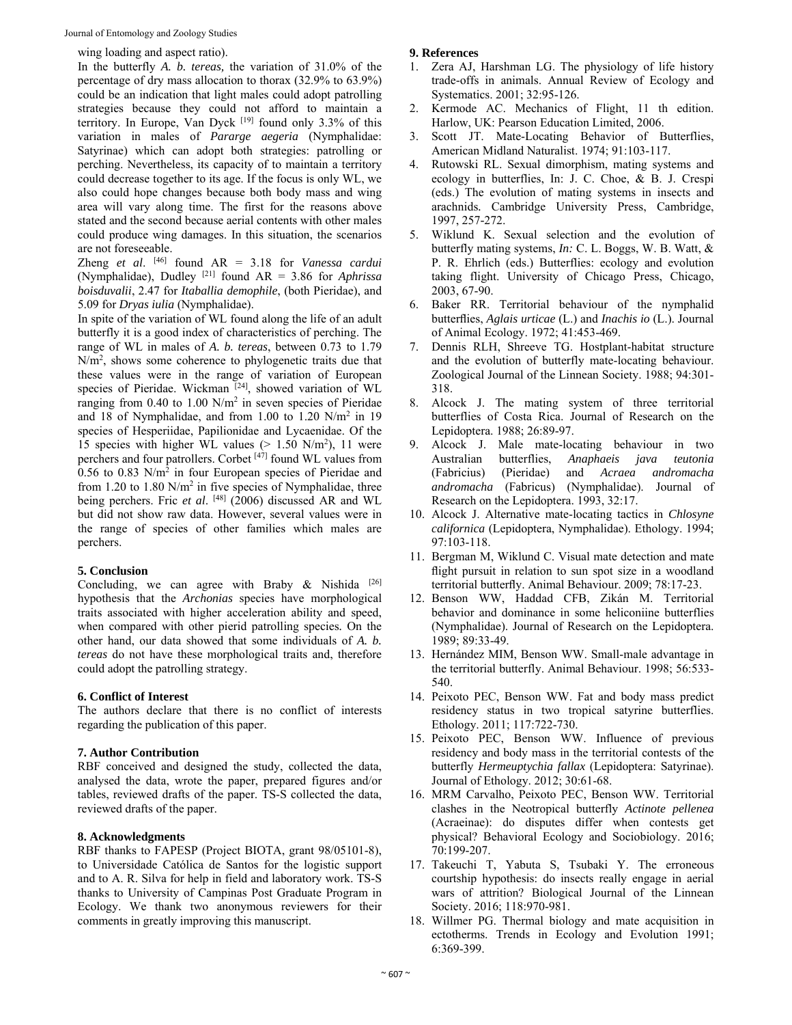wing loading and aspect ratio).

In the butterfly *A. b. tereas,* the variation of 31.0% of the percentage of dry mass allocation to thorax (32.9% to 63.9%) could be an indication that light males could adopt patrolling strategies because they could not afford to maintain a territory. In Europe, Van Dyck [19] found only 3.3% of this variation in males of *Pararge aegeria* (Nymphalidae: Satyrinae) which can adopt both strategies: patrolling or perching. Nevertheless, its capacity of to maintain a territory could decrease together to its age. If the focus is only WL, we also could hope changes because both body mass and wing area will vary along time. The first for the reasons above stated and the second because aerial contents with other males could produce wing damages. In this situation, the scenarios are not foreseeable.

Zheng *et al*. [46] found AR = 3.18 for *Vanessa cardui* (Nymphalidae), Dudley [21] found AR = 3.86 for *Aphrissa boisduvalii*, 2.47 for *Itaballia demophile*, (both Pieridae), and 5.09 for *Dryas iulia* (Nymphalidae).

In spite of the variation of WL found along the life of an adult butterfly it is a good index of characteristics of perching. The range of WL in males of *A. b. tereas*, between 0.73 to 1.79 N/m2 , shows some coherence to phylogenetic traits due that these values were in the range of variation of European species of Pieridae. Wickman [24], showed variation of WL ranging from  $0.40$  to  $1.00$  N/m<sup>2</sup> in seven species of Pieridae and 18 of Nymphalidae, and from  $1.00$  to  $1.20$  N/m<sup>2</sup> in 19 species of Hesperiidae, Papilionidae and Lycaenidae. Of the 15 species with higher WL values  $(> 1.50 \text{ N/m}^2)$ , 11 were perchers and four patrollers. Corbet [47] found WL values from  $0.56$  to  $0.83$  N/m<sup>2</sup> in four European species of Pieridae and from 1.20 to 1.80  $N/m^2$  in five species of Nymphalidae, three being perchers. Fric et al. <sup>[48]</sup> (2006) discussed AR and WL but did not show raw data. However, several values were in the range of species of other families which males are perchers.

# **5. Conclusion**

Concluding, we can agree with Braby & Nishida  $[26]$ hypothesis that the *Archonias* species have morphological traits associated with higher acceleration ability and speed, when compared with other pierid patrolling species*.* On the other hand, our data showed that some individuals of *A. b. tereas* do not have these morphological traits and, therefore could adopt the patrolling strategy.

# **6. Conflict of Interest**

The authors declare that there is no conflict of interests regarding the publication of this paper.

# **7. Author Contribution**

RBF conceived and designed the study, collected the data, analysed the data, wrote the paper, prepared figures and/or tables, reviewed drafts of the paper. TS-S collected the data, reviewed drafts of the paper.

# **8. Acknowledgments**

RBF thanks to FAPESP (Project BIOTA, grant 98/05101-8), to Universidade Católica de Santos for the logistic support and to A. R. Silva for help in field and laboratory work. TS-S thanks to University of Campinas Post Graduate Program in Ecology. We thank two anonymous reviewers for their comments in greatly improving this manuscript.

# **9. References**

- 1. Zera AJ, Harshman LG. The physiology of life history trade-offs in animals. Annual Review of Ecology and Systematics. 2001; 32:95-126.
- 2. Kermode AC. Mechanics of Flight, 11 th edition. Harlow, UK: Pearson Education Limited, 2006.
- 3. Scott JT. Mate-Locating Behavior of Butterflies, American Midland Naturalist. 1974; 91:103-117.
- 4. Rutowski RL. Sexual dimorphism, mating systems and ecology in butterflies, In: J. C. Choe, & B. J. Crespi (eds.) The evolution of mating systems in insects and arachnids*.* Cambridge University Press, Cambridge, 1997, 257*-*272.
- 5. Wiklund K. Sexual selection and the evolution of butterfly mating systems, *In:* C. L. Boggs, W. B. Watt, & P. R. Ehrlich (eds.) Butterflies: ecology and evolution taking flight. University of Chicago Press, Chicago, 2003, 67-90.
- 6. Baker RR. Territorial behaviour of the nymphalid butterflies, *Aglais urticae* (L.) and *Inachis io* (L.). Journal of Animal Ecology. 1972; 41:453-469.
- 7. Dennis RLH, Shreeve TG. Hostplant-habitat structure and the evolution of butterfly mate-locating behaviour. Zoological Journal of the Linnean Society. 1988; 94:301- 318.
- 8. Alcock J. The mating system of three territorial butterflies of Costa Rica. Journal of Research on the Lepidoptera. 1988; 26:89-97.
- 9. Alcock J. Male mate-locating behaviour in two Australian butterflies, *Anaphaeis java teutonia* (Pieridae) and *Acraea andromacha andromacha* (Fabricus) (Nymphalidae). Journal of Research on the Lepidoptera. 1993, 32:17.
- 10. Alcock J. Alternative mate-locating tactics in *Chlosyne californica* (Lepidoptera, Nymphalidae). Ethology. 1994; 97:103-118.
- 11. Bergman M, Wiklund C. Visual mate detection and mate flight pursuit in relation to sun spot size in a woodland territorial butterfly. Animal Behaviour. 2009; 78:17-23.
- 12. Benson WW, Haddad CFB, Zikán M. Territorial behavior and dominance in some heliconiine butterflies (Nymphalidae). Journal of Research on the Lepidoptera. 1989; 89:33-49.
- 13. Hernández MIM, Benson WW. Small-male advantage in the territorial butterfly. Animal Behaviour. 1998; 56:533- 540.
- 14. Peixoto PEC, Benson WW. Fat and body mass predict residency status in two tropical satyrine butterflies. Ethology. 2011; 117:722-730.
- 15. Peixoto PEC, Benson WW. Influence of previous residency and body mass in the territorial contests of the butterfly *Hermeuptychia fallax* (Lepidoptera: Satyrinae). Journal of Ethology. 2012; 30:61-68.
- 16. MRM Carvalho, Peixoto PEC, Benson WW. Territorial clashes in the Neotropical butterfly *Actinote pellenea* (Acraeinae): do disputes differ when contests get physical? Behavioral Ecology and Sociobiology. 2016; 70:199-207.
- 17. Takeuchi T, Yabuta S, Tsubaki Y. The erroneous courtship hypothesis: do insects really engage in aerial wars of attrition? Biological Journal of the Linnean Society. 2016; 118:970-981.
- 18. Willmer PG. Thermal biology and mate acquisition in ectotherms. Trends in Ecology and Evolution 1991; 6:369-399.